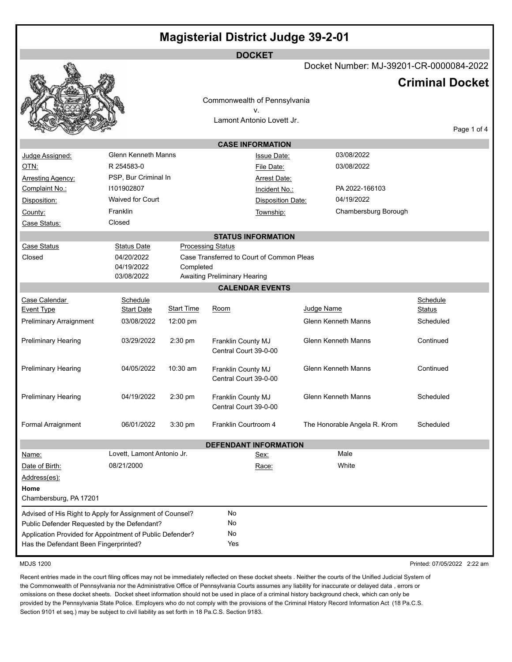| Docket Number: MJ-39201-CR-0000084-2022<br><b>Criminal Docket</b><br>Commonwealth of Pennsylvania<br>v.<br>Lamont Antonio Lovett Jr.          |  |  |  |  |  |
|-----------------------------------------------------------------------------------------------------------------------------------------------|--|--|--|--|--|
|                                                                                                                                               |  |  |  |  |  |
|                                                                                                                                               |  |  |  |  |  |
|                                                                                                                                               |  |  |  |  |  |
|                                                                                                                                               |  |  |  |  |  |
|                                                                                                                                               |  |  |  |  |  |
| Page 1 of 4                                                                                                                                   |  |  |  |  |  |
| <b>CASE INFORMATION</b>                                                                                                                       |  |  |  |  |  |
| <b>Glenn Kenneth Manns</b><br>03/08/2022<br>Judge Assigned:<br><b>Issue Date:</b>                                                             |  |  |  |  |  |
| R 254583-0<br>OTN:<br>03/08/2022<br>File Date:                                                                                                |  |  |  |  |  |
| PSP, Bur Criminal In<br><b>Arresting Agency:</b><br><b>Arrest Date:</b>                                                                       |  |  |  |  |  |
| Complaint No.:<br>1101902807<br>PA 2022-166103<br>Incident No.:                                                                               |  |  |  |  |  |
| <b>Waived for Court</b><br>04/19/2022<br><b>Disposition Date:</b><br>Disposition:                                                             |  |  |  |  |  |
| Franklin<br>Chambersburg Borough<br>County:<br>Township:                                                                                      |  |  |  |  |  |
| Closed<br>Case Status:                                                                                                                        |  |  |  |  |  |
| <b>STATUS INFORMATION</b>                                                                                                                     |  |  |  |  |  |
| <b>Case Status</b><br><b>Processing Status</b><br><b>Status Date</b>                                                                          |  |  |  |  |  |
| 04/20/2022<br>Case Transferred to Court of Common Pleas<br>Closed                                                                             |  |  |  |  |  |
| 04/19/2022<br>Completed<br>03/08/2022<br><b>Awaiting Preliminary Hearing</b>                                                                  |  |  |  |  |  |
| <b>CALENDAR EVENTS</b>                                                                                                                        |  |  |  |  |  |
| Case Calendar<br>Schedule<br>Schedule                                                                                                         |  |  |  |  |  |
| Judge Name<br><b>Start Time</b><br><b>Start Date</b><br>Room<br><b>Event Type</b><br><b>Status</b>                                            |  |  |  |  |  |
| <b>Glenn Kenneth Manns</b><br><b>Preliminary Arraignment</b><br>03/08/2022<br>12:00 pm<br>Scheduled                                           |  |  |  |  |  |
|                                                                                                                                               |  |  |  |  |  |
| <b>Glenn Kenneth Manns</b><br>Continued<br><b>Preliminary Hearing</b><br>03/29/2022<br>2:30 pm<br>Franklin County MJ<br>Central Court 39-0-00 |  |  |  |  |  |
|                                                                                                                                               |  |  |  |  |  |
| 10:30 am<br><b>Glenn Kenneth Manns</b><br><b>Preliminary Hearing</b><br>04/05/2022<br>Continued<br>Franklin County MJ                         |  |  |  |  |  |
| Central Court 39-0-00                                                                                                                         |  |  |  |  |  |
| <b>Preliminary Hearing</b><br>04/19/2022<br>2:30 pm<br><b>Glenn Kenneth Manns</b><br>Scheduled<br>Franklin County MJ                          |  |  |  |  |  |
| Central Court 39-0-00                                                                                                                         |  |  |  |  |  |
|                                                                                                                                               |  |  |  |  |  |
| 06/01/2022<br>Formal Arraignment<br>3:30 pm<br>Franklin Courtroom 4<br>The Honorable Angela R. Krom<br>Scheduled                              |  |  |  |  |  |
| <b>DEFENDANT INFORMATION</b>                                                                                                                  |  |  |  |  |  |
| Male<br>Lovett, Lamont Antonio Jr.<br>Name:<br>Sex:                                                                                           |  |  |  |  |  |
| White<br>08/21/2000<br>Date of Birth:<br>Race:                                                                                                |  |  |  |  |  |
| Address(es):                                                                                                                                  |  |  |  |  |  |
| Home                                                                                                                                          |  |  |  |  |  |
| Chambersburg, PA 17201                                                                                                                        |  |  |  |  |  |
| No<br>Advised of His Right to Apply for Assignment of Counsel?                                                                                |  |  |  |  |  |
| No<br>Public Defender Requested by the Defendant?                                                                                             |  |  |  |  |  |
| No<br>Application Provided for Appointment of Public Defender?                                                                                |  |  |  |  |  |
| Yes<br>Has the Defendant Been Fingerprinted?                                                                                                  |  |  |  |  |  |

MDJS 1200 Printed: 07/05/2022 2:22 am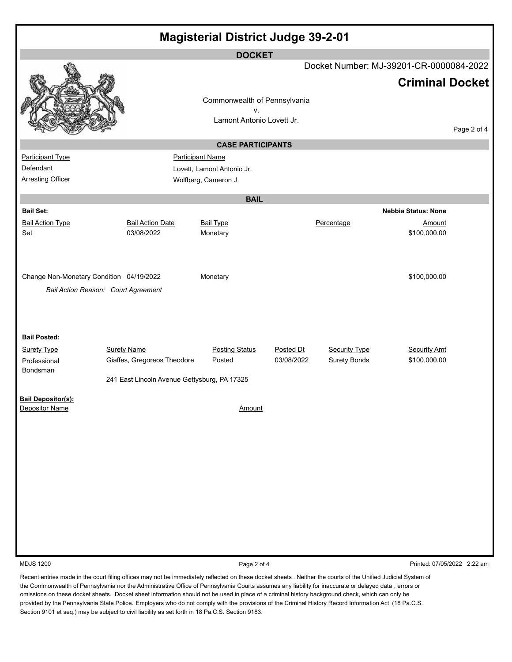| <b>Magisterial District Judge 39-2-01</b> |                                              |                                 |            |                      |                                         |             |  |
|-------------------------------------------|----------------------------------------------|---------------------------------|------------|----------------------|-----------------------------------------|-------------|--|
| <b>DOCKET</b>                             |                                              |                                 |            |                      |                                         |             |  |
|                                           |                                              |                                 |            |                      | Docket Number: MJ-39201-CR-0000084-2022 |             |  |
|                                           |                                              |                                 |            |                      | <b>Criminal Docket</b>                  |             |  |
|                                           |                                              | Commonwealth of Pennsylvania    |            |                      |                                         |             |  |
|                                           |                                              | v.<br>Lamont Antonio Lovett Jr. |            |                      |                                         |             |  |
|                                           |                                              |                                 |            |                      |                                         | Page 2 of 4 |  |
|                                           |                                              | <b>CASE PARTICIPANTS</b>        |            |                      |                                         |             |  |
| <b>Participant Type</b>                   |                                              | <b>Participant Name</b>         |            |                      |                                         |             |  |
| Defendant                                 |                                              | Lovett, Lamont Antonio Jr.      |            |                      |                                         |             |  |
| Arresting Officer                         |                                              | Wolfberg, Cameron J.            |            |                      |                                         |             |  |
|                                           |                                              | <b>BAIL</b>                     |            |                      |                                         |             |  |
| <b>Bail Set:</b>                          |                                              |                                 |            |                      | <b>Nebbia Status: None</b>              |             |  |
| <b>Bail Action Type</b>                   | <b>Bail Action Date</b>                      | <b>Bail Type</b>                |            | Percentage           | Amount                                  |             |  |
| Set                                       | 03/08/2022                                   | Monetary                        |            |                      | \$100,000.00                            |             |  |
|                                           |                                              |                                 |            |                      |                                         |             |  |
|                                           |                                              |                                 |            |                      |                                         |             |  |
| Change Non-Monetary Condition 04/19/2022  |                                              | Monetary                        |            |                      | \$100,000.00                            |             |  |
|                                           | Bail Action Reason: Court Agreement          |                                 |            |                      |                                         |             |  |
|                                           |                                              |                                 |            |                      |                                         |             |  |
|                                           |                                              |                                 |            |                      |                                         |             |  |
| <b>Bail Posted:</b>                       |                                              |                                 |            |                      |                                         |             |  |
| <b>Surety Type</b>                        | <b>Surety Name</b>                           | <b>Posting Status</b>           | Posted Dt  | <b>Security Type</b> | <b>Security Amt</b>                     |             |  |
| Professional<br>Bondsman                  | Giaffes, Gregoreos Theodore                  | Posted                          | 03/08/2022 | <b>Surety Bonds</b>  | \$100,000.00                            |             |  |
|                                           | 241 East Lincoln Avenue Gettysburg, PA 17325 |                                 |            |                      |                                         |             |  |
| <b>Bail Depositor(s):</b>                 |                                              |                                 |            |                      |                                         |             |  |
| Depositor Name                            |                                              | Amount                          |            |                      |                                         |             |  |
|                                           |                                              |                                 |            |                      |                                         |             |  |
|                                           |                                              |                                 |            |                      |                                         |             |  |
|                                           |                                              |                                 |            |                      |                                         |             |  |
|                                           |                                              |                                 |            |                      |                                         |             |  |
|                                           |                                              |                                 |            |                      |                                         |             |  |
|                                           |                                              |                                 |            |                      |                                         |             |  |
|                                           |                                              |                                 |            |                      |                                         |             |  |
|                                           |                                              |                                 |            |                      |                                         |             |  |
|                                           |                                              |                                 |            |                      |                                         |             |  |
|                                           |                                              |                                 |            |                      |                                         |             |  |
| <b>MDJS 1200</b>                          |                                              | Page 2 of 4                     |            |                      | Printed: 07/05/2022 2:22 am             |             |  |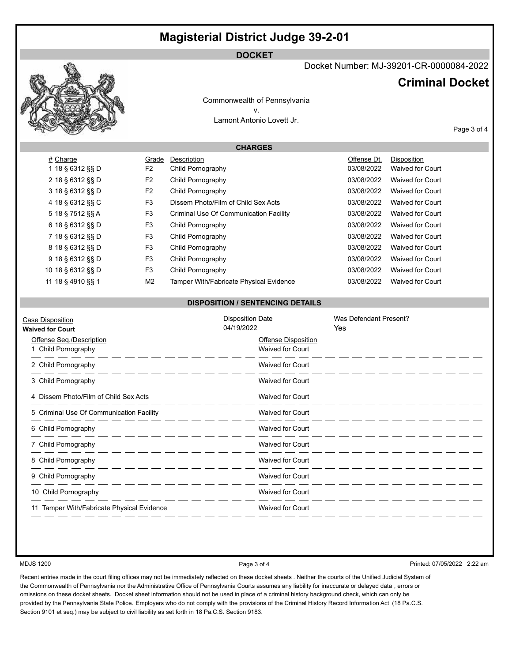## **Magisterial District Judge 39-2-01**

#### **DOCKET**



Docket Number: MJ-39201-CR-0000084-2022

### **Criminal Docket**

Commonwealth of Pennsylvania v. Lamont Antonio Lovett Jr.

**CHARGES**

Page 3 of 4

| # Charge          | Grade          | Description                                    | Offense Dt. | Disposition             |
|-------------------|----------------|------------------------------------------------|-------------|-------------------------|
| 1 18 § 6312 §§ D  | F2             | Child Pornography                              | 03/08/2022  | <b>Waived for Court</b> |
| 2 18 § 6312 §§ D  | F <sub>2</sub> | Child Pornography                              | 03/08/2022  | <b>Waived for Court</b> |
| 3 18 § 6312 §§ D  | F2             | Child Pornography                              | 03/08/2022  | <b>Waived for Court</b> |
| 4 18 § 6312 §§ C  | F <sub>3</sub> | Dissem Photo/Film of Child Sex Acts            | 03/08/2022  | <b>Waived for Court</b> |
| 5 18 § 7512 §§ A  | F <sub>3</sub> | Criminal Use Of Communication Facility         | 03/08/2022  | <b>Waived for Court</b> |
| 6 18 § 6312 §§ D  | F3             | Child Pornography                              | 03/08/2022  | <b>Waived for Court</b> |
| 7 18 § 6312 §§ D  | F <sub>3</sub> | Child Pornography                              | 03/08/2022  | <b>Waived for Court</b> |
| 8 18 § 6312 §§ D  | F <sub>3</sub> | Child Pornography                              | 03/08/2022  | <b>Waived for Court</b> |
| 9 18 § 6312 §§ D  | F <sub>3</sub> | Child Pornography                              | 03/08/2022  | <b>Waived for Court</b> |
| 10 18 § 6312 §§ D | F <sub>3</sub> | Child Pornography                              | 03/08/2022  | <b>Waived for Court</b> |
| 11 18 § 4910 §§ 1 | M2             | <b>Tamper With/Fabricate Physical Evidence</b> | 03/08/2022  | <b>Waived for Court</b> |
|                   |                |                                                |             |                         |

#### **DISPOSITION / SENTENCING DETAILS**

| Case Disposition<br><b>Waived for Court</b>     | <b>Disposition Date</b><br>04/19/2022                 | Was Defendant Present?<br>Yes |
|-------------------------------------------------|-------------------------------------------------------|-------------------------------|
| Offense Seq./Description<br>1 Child Pornography | <b>Offense Disposition</b><br><b>Waived for Court</b> |                               |
| 2 Child Pornography                             | <b>Waived for Court</b>                               |                               |
| 3 Child Pornography                             | Waived for Court                                      |                               |
| 4 Dissem Photo/Film of Child Sex Acts           | Waived for Court                                      |                               |
| 5 Criminal Use Of Communication Facility        | <b>Waived for Court</b>                               |                               |
| 6 Child Pornography                             | <b>Waived for Court</b>                               |                               |
| 7 Child Pornography                             | <b>Waived for Court</b>                               |                               |
| 8 Child Pornography                             | <b>Waived for Court</b>                               |                               |
| 9 Child Pornography                             | <b>Waived for Court</b>                               |                               |
| 10 Child Pornography                            | <b>Waived for Court</b>                               |                               |
| Tamper With/Fabricate Physical Evidence         | <b>Waived for Court</b>                               |                               |

MDJS 1200 **Page 3 of 4** Printed: 07/05/2022 2:22 am